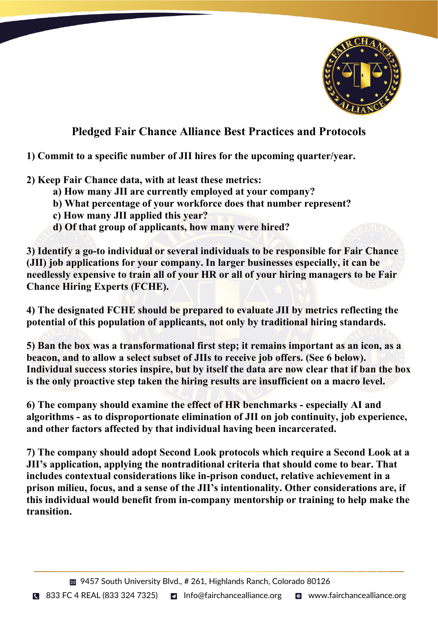

## **Pledged Fair Chance Alliance Best Practices and Protocols**

## **1) Commit to a specific number of JII hires for the upcoming quarter/year.**

- **2) Keep Fair Chance data, with at least these metrics:**
	- **a) How many JII are currently employed at your company?**
	- **b) What percentage of your workforce does that number represent?**
	- **c) How many JII applied this year?**
	- **d) Of that group of applicants, how many were hired?**

**3) Identify a go-to individual or several individuals to be responsible for Fair Chance (JII) job applications for your company. In larger businesses especially, it can be needlessly expensive to train all of your HR or all of your hiring managers to be Fair Chance Hiring Experts (FCHE).** 

**4) The designated FCHE should be prepared to evaluate JII by metrics reflecting the potential of this population of applicants, not only by traditional hiring standards.** 

**5) Ban the box was a transformational first step; it remains important as an icon, as a beacon, and to allow a select subset of JIIs to receive job offers. (See 6 below). Individual success stories inspire, but by itself the data are now clear that if ban the box is the only proactive step taken the hiring results are insufficient on a macro level.** 

**6) The company should examine the effect of HR benchmarks - especially AI and algorithms - as to disproportionate elimination of JII on job continuity, job experience, and other factors affected by that individual having been incarcerated.** 

**7) The company should adopt Second Look protocols which require a Second Look at a JII's application, applying the nontraditional criteria that should come to bear. That includes contextual considerations like in-prison conduct, relative achievement in a prison milieu, focus, and a sense of the JII's intentionality. Other considerations are, if this individual would benefit from in-company mentorship or training to help make the transition.**